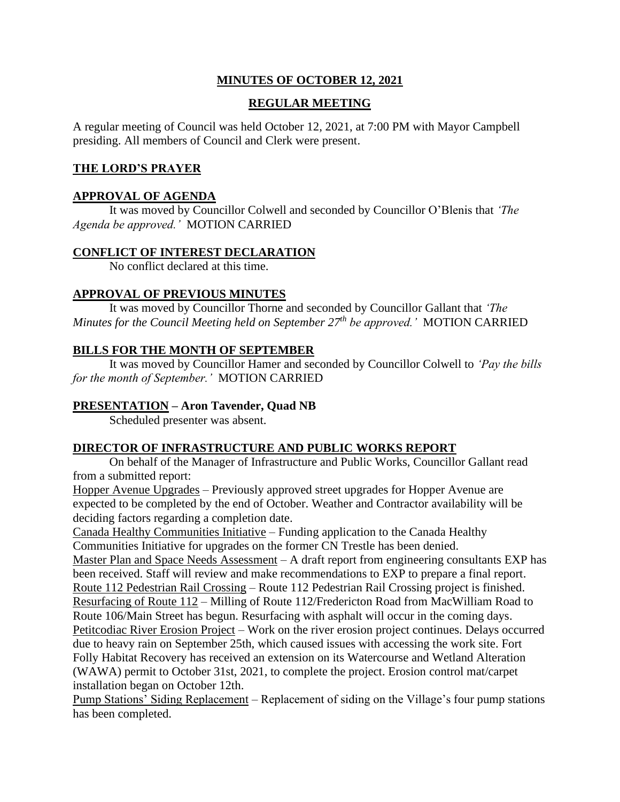# **MINUTES OF OCTOBER 12, 2021**

# **REGULAR MEETING**

A regular meeting of Council was held October 12, 2021, at 7:00 PM with Mayor Campbell presiding. All members of Council and Clerk were present.

# **THE LORD'S PRAYER**

# **APPROVAL OF AGENDA**

It was moved by Councillor Colwell and seconded by Councillor O'Blenis that *'The Agenda be approved.'* MOTION CARRIED

## **CONFLICT OF INTEREST DECLARATION**

No conflict declared at this time.

# **APPROVAL OF PREVIOUS MINUTES**

It was moved by Councillor Thorne and seconded by Councillor Gallant that *'The Minutes for the Council Meeting held on September 27th be approved.'* MOTION CARRIED

# **BILLS FOR THE MONTH OF SEPTEMBER**

It was moved by Councillor Hamer and seconded by Councillor Colwell to *'Pay the bills for the month of September.'* MOTION CARRIED

# **PRESENTATION – Aron Tavender, Quad NB**

Scheduled presenter was absent.

### **DIRECTOR OF INFRASTRUCTURE AND PUBLIC WORKS REPORT**

On behalf of the Manager of Infrastructure and Public Works, Councillor Gallant read from a submitted report:

Hopper Avenue Upgrades – Previously approved street upgrades for Hopper Avenue are expected to be completed by the end of October. Weather and Contractor availability will be deciding factors regarding a completion date.

Canada Healthy Communities Initiative – Funding application to the Canada Healthy Communities Initiative for upgrades on the former CN Trestle has been denied.

Master Plan and Space Needs Assessment – A draft report from engineering consultants EXP has been received. Staff will review and make recommendations to EXP to prepare a final report. Route 112 Pedestrian Rail Crossing – Route 112 Pedestrian Rail Crossing project is finished. Resurfacing of Route 112 – Milling of Route 112/Fredericton Road from MacWilliam Road to Route 106/Main Street has begun. Resurfacing with asphalt will occur in the coming days. Petitcodiac River Erosion Project – Work on the river erosion project continues. Delays occurred due to heavy rain on September 25th, which caused issues with accessing the work site. Fort Folly Habitat Recovery has received an extension on its Watercourse and Wetland Alteration (WAWA) permit to October 31st, 2021, to complete the project. Erosion control mat/carpet installation began on October 12th.

Pump Stations' Siding Replacement – Replacement of siding on the Village's four pump stations has been completed.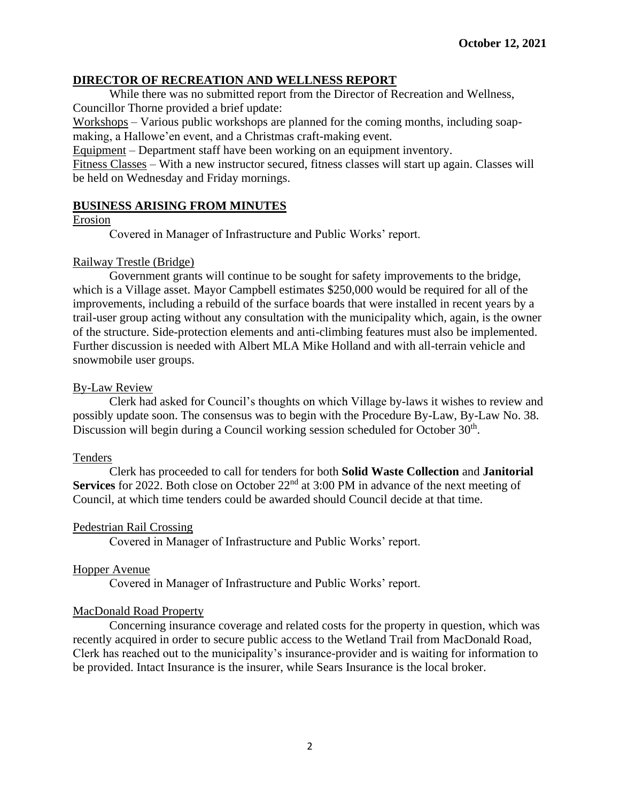# **DIRECTOR OF RECREATION AND WELLNESS REPORT**

While there was no submitted report from the Director of Recreation and Wellness, Councillor Thorne provided a brief update:

Workshops – Various public workshops are planned for the coming months, including soapmaking, a Hallowe'en event, and a Christmas craft-making event.

Equipment – Department staff have been working on an equipment inventory.

Fitness Classes – With a new instructor secured, fitness classes will start up again. Classes will be held on Wednesday and Friday mornings.

### **BUSINESS ARISING FROM MINUTES**

### Erosion

Covered in Manager of Infrastructure and Public Works' report.

## Railway Trestle (Bridge)

Government grants will continue to be sought for safety improvements to the bridge, which is a Village asset. Mayor Campbell estimates \$250,000 would be required for all of the improvements, including a rebuild of the surface boards that were installed in recent years by a trail-user group acting without any consultation with the municipality which, again, is the owner of the structure. Side-protection elements and anti-climbing features must also be implemented. Further discussion is needed with Albert MLA Mike Holland and with all-terrain vehicle and snowmobile user groups.

## By-Law Review

Clerk had asked for Council's thoughts on which Village by-laws it wishes to review and possibly update soon. The consensus was to begin with the Procedure By-Law, By-Law No. 38. Discussion will begin during a Council working session scheduled for October 30<sup>th</sup>.

### Tenders

Clerk has proceeded to call for tenders for both **Solid Waste Collection** and **Janitorial**  Services for 2022. Both close on October 22<sup>nd</sup> at 3:00 PM in advance of the next meeting of Council, at which time tenders could be awarded should Council decide at that time.

# Pedestrian Rail Crossing

Covered in Manager of Infrastructure and Public Works' report.

# Hopper Avenue

Covered in Manager of Infrastructure and Public Works' report.

### MacDonald Road Property

Concerning insurance coverage and related costs for the property in question, which was recently acquired in order to secure public access to the Wetland Trail from MacDonald Road, Clerk has reached out to the municipality's insurance-provider and is waiting for information to be provided. Intact Insurance is the insurer, while Sears Insurance is the local broker.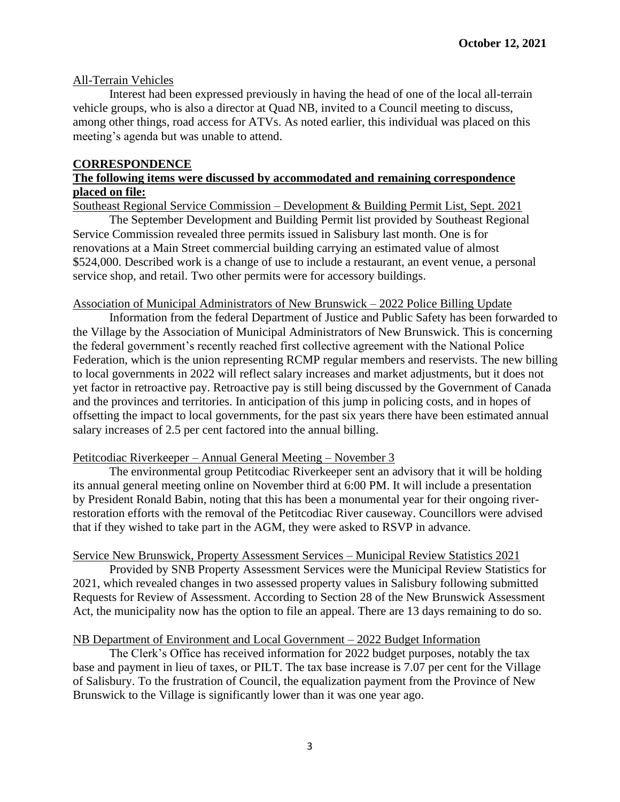## All-Terrain Vehicles

Interest had been expressed previously in having the head of one of the local all-terrain vehicle groups, who is also a director at Quad NB, invited to a Council meeting to discuss, among other things, road access for ATVs. As noted earlier, this individual was placed on this meeting's agenda but was unable to attend.

### **CORRESPONDENCE**

## **The following items were discussed by accommodated and remaining correspondence placed on file:**

Southeast Regional Service Commission – Development & Building Permit List, Sept. 2021

The September Development and Building Permit list provided by Southeast Regional Service Commission revealed three permits issued in Salisbury last month. One is for renovations at a Main Street commercial building carrying an estimated value of almost \$524,000. Described work is a change of use to include a restaurant, an event venue, a personal service shop, and retail. Two other permits were for accessory buildings.

#### Association of Municipal Administrators of New Brunswick – 2022 Police Billing Update

Information from the federal Department of Justice and Public Safety has been forwarded to the Village by the Association of Municipal Administrators of New Brunswick. This is concerning the federal government's recently reached first collective agreement with the National Police Federation, which is the union representing RCMP regular members and reservists. The new billing to local governments in 2022 will reflect salary increases and market adjustments, but it does not yet factor in retroactive pay. Retroactive pay is still being discussed by the Government of Canada and the provinces and territories. In anticipation of this jump in policing costs, and in hopes of offsetting the impact to local governments, for the past six years there have been estimated annual salary increases of 2.5 per cent factored into the annual billing.

### Petitcodiac Riverkeeper – Annual General Meeting – November 3

The environmental group Petitcodiac Riverkeeper sent an advisory that it will be holding its annual general meeting online on November third at 6:00 PM. It will include a presentation by President Ronald Babin, noting that this has been a monumental year for their ongoing riverrestoration efforts with the removal of the Petitcodiac River causeway. Councillors were advised that if they wished to take part in the AGM, they were asked to RSVP in advance.

### Service New Brunswick, Property Assessment Services – Municipal Review Statistics 2021

Provided by SNB Property Assessment Services were the Municipal Review Statistics for 2021, which revealed changes in two assessed property values in Salisbury following submitted Requests for Review of Assessment. According to Section 28 of the New Brunswick Assessment Act, the municipality now has the option to file an appeal. There are 13 days remaining to do so.

### NB Department of Environment and Local Government – 2022 Budget Information

The Clerk's Office has received information for 2022 budget purposes, notably the tax base and payment in lieu of taxes, or PILT. The tax base increase is 7.07 per cent for the Village of Salisbury. To the frustration of Council, the equalization payment from the Province of New Brunswick to the Village is significantly lower than it was one year ago.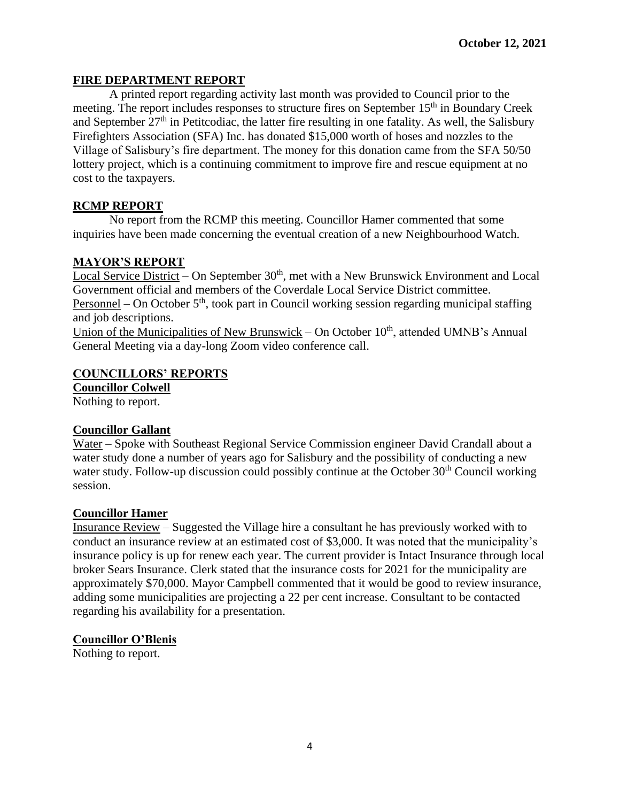# **FIRE DEPARTMENT REPORT**

A printed report regarding activity last month was provided to Council prior to the meeting. The report includes responses to structure fires on September 15<sup>th</sup> in Boundary Creek and September  $27<sup>th</sup>$  in Petitcodiac, the latter fire resulting in one fatality. As well, the Salisbury Firefighters Association (SFA) Inc. has donated \$15,000 worth of hoses and nozzles to the Village of Salisbury's fire department. The money for this donation came from the SFA 50/50 lottery project, which is a continuing commitment to improve fire and rescue equipment at no cost to the taxpayers.

## **RCMP REPORT**

No report from the RCMP this meeting. Councillor Hamer commented that some inquiries have been made concerning the eventual creation of a new Neighbourhood Watch.

## **MAYOR'S REPORT**

Local Service District – On September 30<sup>th</sup>, met with a New Brunswick Environment and Local Government official and members of the Coverdale Local Service District committee. Personnel – On October  $5<sup>th</sup>$ , took part in Council working session regarding municipal staffing and job descriptions.

Union of the Municipalities of New Brunswick – On October  $10<sup>th</sup>$ , attended UMNB's Annual General Meeting via a day-long Zoom video conference call.

## **COUNCILLORS' REPORTS**

**Councillor Colwell**

Nothing to report.

### **Councillor Gallant**

Water – Spoke with Southeast Regional Service Commission engineer David Crandall about a water study done a number of years ago for Salisbury and the possibility of conducting a new water study. Follow-up discussion could possibly continue at the October  $30<sup>th</sup>$  Council working session.

### **Councillor Hamer**

Insurance Review – Suggested the Village hire a consultant he has previously worked with to conduct an insurance review at an estimated cost of \$3,000. It was noted that the municipality's insurance policy is up for renew each year. The current provider is Intact Insurance through local broker Sears Insurance. Clerk stated that the insurance costs for 2021 for the municipality are approximately \$70,000. Mayor Campbell commented that it would be good to review insurance, adding some municipalities are projecting a 22 per cent increase. Consultant to be contacted regarding his availability for a presentation.

### **Councillor O'Blenis**

Nothing to report.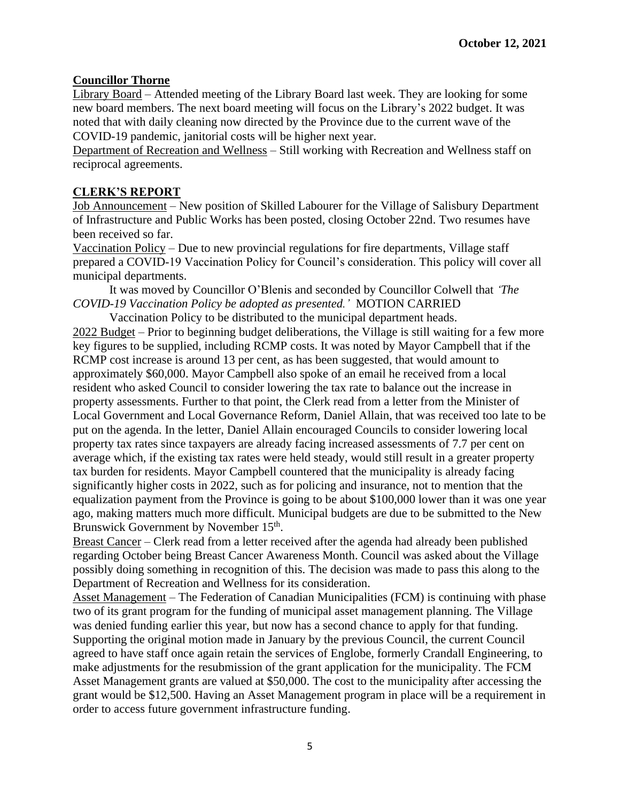# **Councillor Thorne**

Library Board – Attended meeting of the Library Board last week. They are looking for some new board members. The next board meeting will focus on the Library's 2022 budget. It was noted that with daily cleaning now directed by the Province due to the current wave of the COVID-19 pandemic, janitorial costs will be higher next year.

Department of Recreation and Wellness – Still working with Recreation and Wellness staff on reciprocal agreements.

# **CLERK'S REPORT**

Job Announcement – New position of Skilled Labourer for the Village of Salisbury Department of Infrastructure and Public Works has been posted, closing October 22nd. Two resumes have been received so far.

Vaccination Policy – Due to new provincial regulations for fire departments, Village staff prepared a COVID-19 Vaccination Policy for Council's consideration. This policy will cover all municipal departments.

It was moved by Councillor O'Blenis and seconded by Councillor Colwell that *'The COVID-19 Vaccination Policy be adopted as presented.'* MOTION CARRIED

Vaccination Policy to be distributed to the municipal department heads. 2022 Budget – Prior to beginning budget deliberations, the Village is still waiting for a few more key figures to be supplied, including RCMP costs. It was noted by Mayor Campbell that if the RCMP cost increase is around 13 per cent, as has been suggested, that would amount to approximately \$60,000. Mayor Campbell also spoke of an email he received from a local resident who asked Council to consider lowering the tax rate to balance out the increase in property assessments. Further to that point, the Clerk read from a letter from the Minister of Local Government and Local Governance Reform, Daniel Allain, that was received too late to be put on the agenda. In the letter, Daniel Allain encouraged Councils to consider lowering local property tax rates since taxpayers are already facing increased assessments of 7.7 per cent on average which, if the existing tax rates were held steady, would still result in a greater property tax burden for residents. Mayor Campbell countered that the municipality is already facing significantly higher costs in 2022, such as for policing and insurance, not to mention that the equalization payment from the Province is going to be about \$100,000 lower than it was one year ago, making matters much more difficult. Municipal budgets are due to be submitted to the New Brunswick Government by November 15<sup>th</sup>.

Breast Cancer – Clerk read from a letter received after the agenda had already been published regarding October being Breast Cancer Awareness Month. Council was asked about the Village possibly doing something in recognition of this. The decision was made to pass this along to the Department of Recreation and Wellness for its consideration.

Asset Management – The Federation of Canadian Municipalities (FCM) is continuing with phase two of its grant program for the funding of municipal asset management planning. The Village was denied funding earlier this year, but now has a second chance to apply for that funding. Supporting the original motion made in January by the previous Council, the current Council agreed to have staff once again retain the services of Englobe, formerly Crandall Engineering, to make adjustments for the resubmission of the grant application for the municipality. The FCM Asset Management grants are valued at \$50,000. The cost to the municipality after accessing the grant would be \$12,500. Having an Asset Management program in place will be a requirement in order to access future government infrastructure funding.